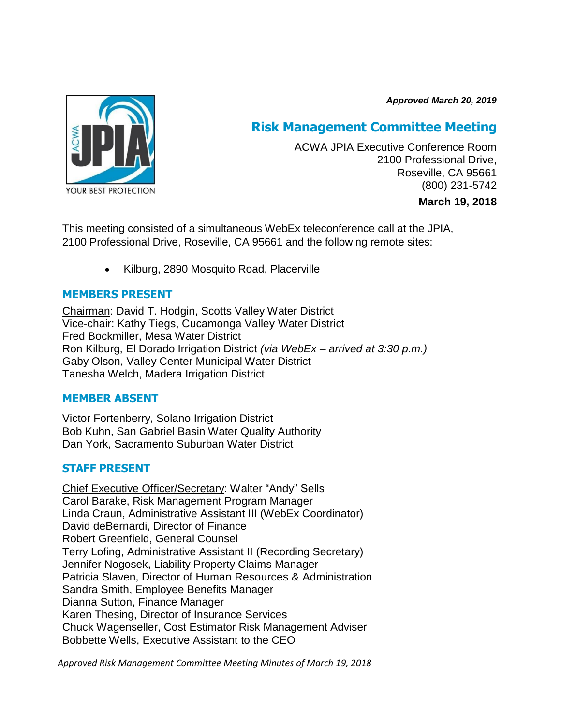*Approved March 20, 2019*



# **Risk Management Committee Meeting**

ACWA JPIA Executive Conference Room 2100 Professional Drive, Roseville, CA 95661 (800) 231-5742

### **March 19, 2018**

This meeting consisted of a simultaneous WebEx teleconference call at the JPIA, 2100 Professional Drive, Roseville, CA 95661 and the following remote sites:

Kilburg, 2890 Mosquito Road, Placerville

# **MEMBERS PRESENT**

Chairman: David T. Hodgin, Scotts Valley Water District Vice-chair: Kathy Tiegs, Cucamonga Valley Water District Fred Bockmiller, Mesa Water District Ron Kilburg, El Dorado Irrigation District *(via WebEx – arrived at 3:30 p.m.)* Gaby Olson, Valley Center Municipal Water District Tanesha Welch, Madera Irrigation District

# **MEMBER ABSENT**

Victor Fortenberry, Solano Irrigation District Bob Kuhn, San Gabriel Basin Water Quality Authority Dan York, Sacramento Suburban Water District

# **STAFF PRESENT**

Chief Executive Officer/Secretary: Walter "Andy" Sells Carol Barake, Risk Management Program Manager Linda Craun, Administrative Assistant III (WebEx Coordinator) David deBernardi, Director of Finance Robert Greenfield, General Counsel Terry Lofing, Administrative Assistant II (Recording Secretary) Jennifer Nogosek, Liability Property Claims Manager Patricia Slaven, Director of Human Resources & Administration Sandra Smith, Employee Benefits Manager Dianna Sutton, Finance Manager Karen Thesing, Director of Insurance Services Chuck Wagenseller, Cost Estimator Risk Management Adviser Bobbette Wells, Executive Assistant to the CEO

*Approved Risk Management Committee Meeting Minutes of March 19, 2018*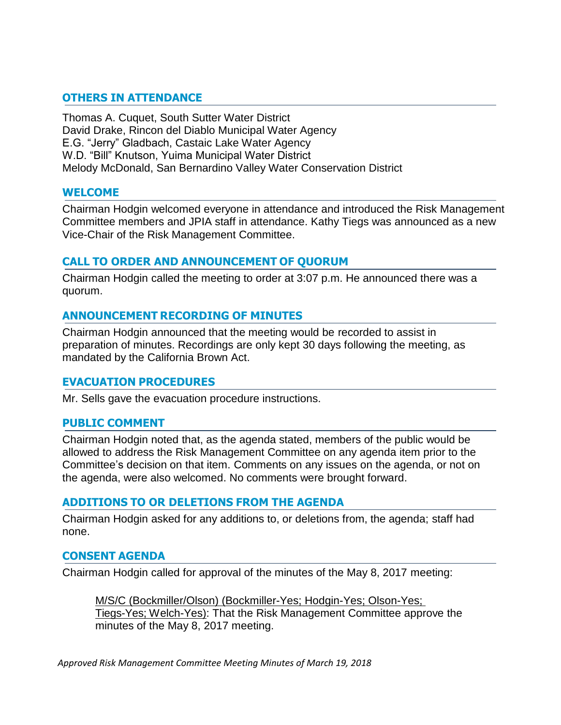# **OTHERS IN ATTENDANCE**

Thomas A. Cuquet, South Sutter Water District David Drake, Rincon del Diablo Municipal Water Agency E.G. "Jerry" Gladbach, Castaic Lake Water Agency W.D. "Bill" Knutson, Yuima Municipal Water District Melody McDonald, San Bernardino Valley Water Conservation District

### **WELCOME**

Chairman Hodgin welcomed everyone in attendance and introduced the Risk Management Committee members and JPIA staff in attendance. Kathy Tiegs was announced as a new Vice-Chair of the Risk Management Committee.

### **CALL TO ORDER AND ANNOUNCEMENT OF QUORUM**

Chairman Hodgin called the meeting to order at 3:07 p.m. He announced there was a quorum.

### **ANNOUNCEMENT RECORDING OF MINUTES**

Chairman Hodgin announced that the meeting would be recorded to assist in preparation of minutes. Recordings are only kept 30 days following the meeting, as mandated by the California Brown Act.

### **EVACUATION PROCEDURES**

Mr. Sells gave the evacuation procedure instructions.

### **PUBLIC COMMENT**

Chairman Hodgin noted that, as the agenda stated, members of the public would be allowed to address the Risk Management Committee on any agenda item prior to the Committee's decision on that item. Comments on any issues on the agenda, or not on the agenda, were also welcomed. No comments were brought forward.

### **ADDITIONS TO OR DELETIONS FROM THE AGENDA**

Chairman Hodgin asked for any additions to, or deletions from, the agenda; staff had none.

### **CONSENT AGENDA**

Chairman Hodgin called for approval of the minutes of the May 8, 2017 meeting:

M/S/C (Bockmiller/Olson) (Bockmiller-Yes; Hodgin-Yes; Olson-Yes; Tiegs-Yes; Welch-Yes): That the Risk Management Committee approve the minutes of the May 8, 2017 meeting.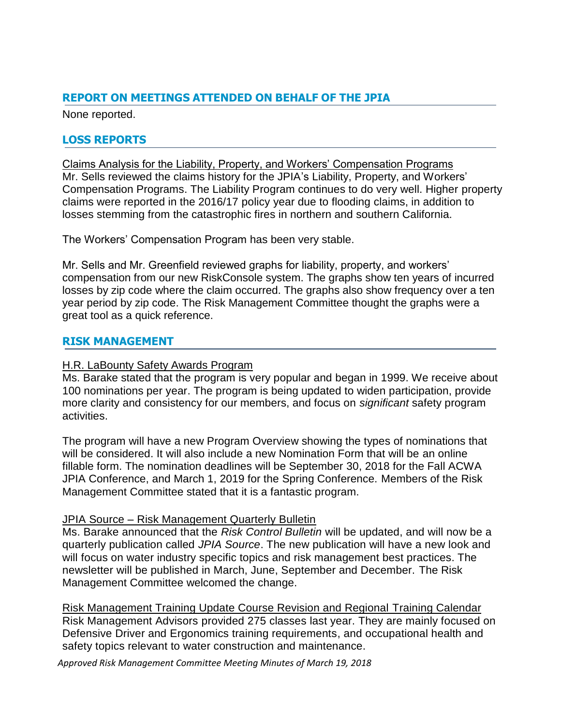# **REPORT ON MEETINGS ATTENDED ON BEHALF OF THE JPIA**

None reported.

# **LOSS REPORTS**

Claims Analysis for the Liability, Property, and Workers' Compensation Programs Mr. Sells reviewed the claims history for the JPIA's Liability, Property, and Workers' Compensation Programs. The Liability Program continues to do very well. Higher property claims were reported in the 2016/17 policy year due to flooding claims, in addition to losses stemming from the catastrophic fires in northern and southern California.

The Workers' Compensation Program has been very stable.

Mr. Sells and Mr. Greenfield reviewed graphs for liability, property, and workers' compensation from our new RiskConsole system. The graphs show ten years of incurred losses by zip code where the claim occurred. The graphs also show frequency over a ten year period by zip code. The Risk Management Committee thought the graphs were a great tool as a quick reference.

# **RISK MANAGEMENT**

### H.R. LaBounty Safety Awards Program

Ms. Barake stated that the program is very popular and began in 1999. We receive about 100 nominations per year. The program is being updated to widen participation, provide more clarity and consistency for our members, and focus on *significant* safety program activities.

The program will have a new Program Overview showing the types of nominations that will be considered. It will also include a new Nomination Form that will be an online fillable form. The nomination deadlines will be September 30, 2018 for the Fall ACWA JPIA Conference, and March 1, 2019 for the Spring Conference. Members of the Risk Management Committee stated that it is a fantastic program.

### JPIA Source – Risk Management Quarterly Bulletin

Ms. Barake announced that the *Risk Control Bulletin* will be updated, and will now be a quarterly publication called *JPIA Source*. The new publication will have a new look and will focus on water industry specific topics and risk management best practices. The newsletter will be published in March, June, September and December. The Risk Management Committee welcomed the change.

Risk Management Training Update Course Revision and Regional Training Calendar Risk Management Advisors provided 275 classes last year. They are mainly focused on Defensive Driver and Ergonomics training requirements, and occupational health and safety topics relevant to water construction and maintenance.

*Approved Risk Management Committee Meeting Minutes of March 19, 2018*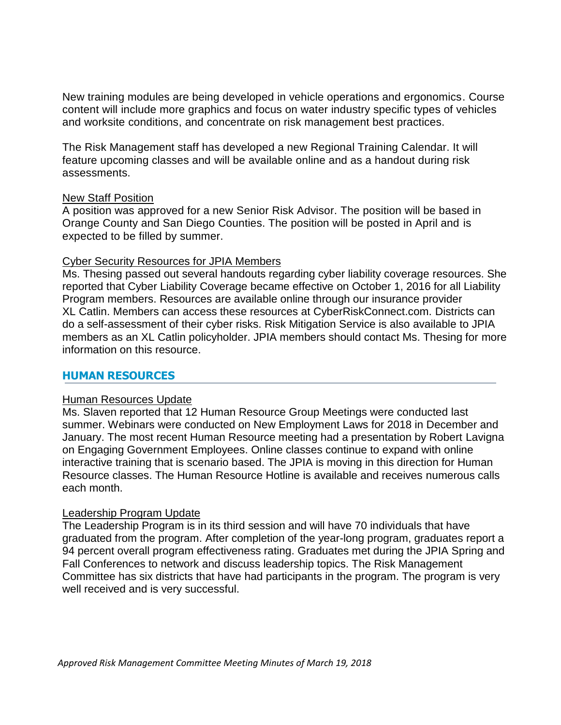New training modules are being developed in vehicle operations and ergonomics. Course content will include more graphics and focus on water industry specific types of vehicles and worksite conditions, and concentrate on risk management best practices.

The Risk Management staff has developed a new Regional Training Calendar. It will feature upcoming classes and will be available online and as a handout during risk assessments.

### New Staff Position

A position was approved for a new Senior Risk Advisor. The position will be based in Orange County and San Diego Counties. The position will be posted in April and is expected to be filled by summer.

### Cyber Security Resources for JPIA Members

Ms. Thesing passed out several handouts regarding cyber liability coverage resources. She reported that Cyber Liability Coverage became effective on October 1, 2016 for all Liability Program members. Resources are available online through our insurance provider XL Catlin. Members can access these resources at CyberRiskConnect.com. Districts can do a self-assessment of their cyber risks. Risk Mitigation Service is also available to JPIA members as an XL Catlin policyholder. JPIA members should contact Ms. Thesing for more information on this resource.

### **HUMAN RESOURCES**

### Human Resources Update

Ms. Slaven reported that 12 Human Resource Group Meetings were conducted last summer. Webinars were conducted on New Employment Laws for 2018 in December and January. The most recent Human Resource meeting had a presentation by Robert Lavigna on Engaging Government Employees. Online classes continue to expand with online interactive training that is scenario based. The JPIA is moving in this direction for Human Resource classes. The Human Resource Hotline is available and receives numerous calls each month.

### Leadership Program Update

The Leadership Program is in its third session and will have 70 individuals that have graduated from the program. After completion of the year-long program, graduates report a 94 percent overall program effectiveness rating. Graduates met during the JPIA Spring and Fall Conferences to network and discuss leadership topics. The Risk Management Committee has six districts that have had participants in the program. The program is very well received and is very successful.